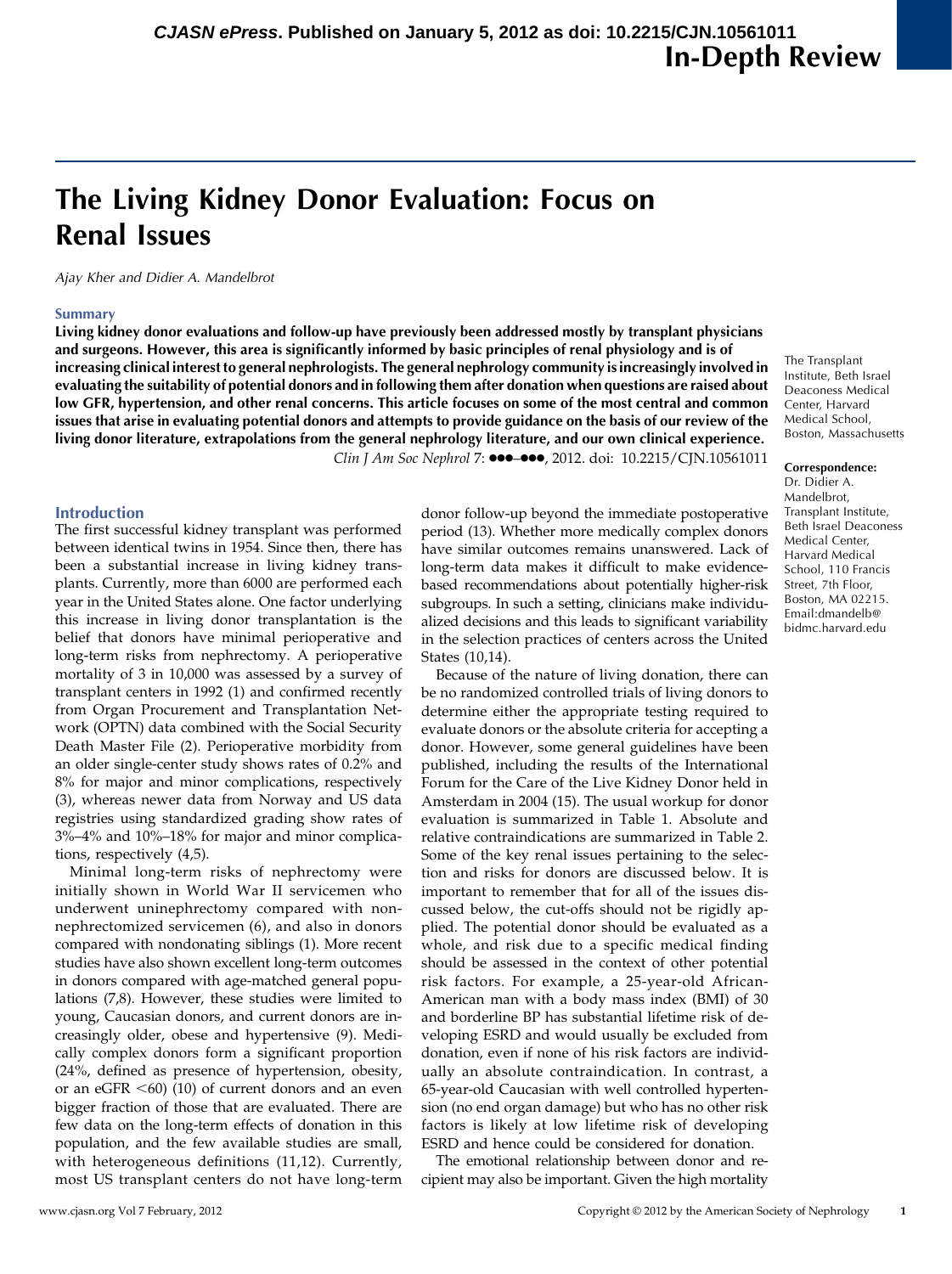# The Living Kidney Donor Evaluation: Focus on Renal Issues

Ajay Kher and Didier A. Mandelbrot

## Summary

Living kidney donor evaluations and follow-up have previously been addressed mostly by transplant physicians and surgeons. However, this area is significantly informed by basic principles of renal physiology and is of increasing clinical interest to general nephrologists. The general nephrology community is increasingly involved in evaluating the suitability of potential donors and in following them after donation when questions are raised about low GFR, hypertension, and other renal concerns. This article focuses on some of the most central and common issues that arise in evaluating potential donors and attempts to provide guidance on the basis of our review of the living donor literature, extrapolations from the general nephrology literature, and our own clinical experience.

Clin J Am Soc Nephrol 7: 000-000, 2012. doi: 10.2215/CJN.10561011

## Introduction

The first successful kidney transplant was performed between identical twins in 1954. Since then, there has been a substantial increase in living kidney transplants. Currently, more than 6000 are performed each year in the United States alone. One factor underlying this increase in living donor transplantation is the belief that donors have minimal perioperative and long-term risks from nephrectomy. A perioperative mortality of 3 in 10,000 was assessed by a survey of transplant centers in 1992 (1) and confirmed recently from Organ Procurement and Transplantation Network (OPTN) data combined with the Social Security Death Master File (2). Perioperative morbidity from an older single-center study shows rates of 0.2% and 8% for major and minor complications, respectively (3), whereas newer data from Norway and US data registries using standardized grading show rates of 3%–4% and 10%–18% for major and minor complications, respectively (4,5).

Minimal long-term risks of nephrectomy were initially shown in World War II servicemen who underwent uninephrectomy compared with nonnephrectomized servicemen (6), and also in donors compared with nondonating siblings (1). More recent studies have also shown excellent long-term outcomes in donors compared with age-matched general populations (7,8). However, these studies were limited to young, Caucasian donors, and current donors are increasingly older, obese and hypertensive (9). Medically complex donors form a significant proportion (24%, defined as presence of hypertension, obesity, or an eGFR  $<$  60) (10) of current donors and an even bigger fraction of those that are evaluated. There are few data on the long-term effects of donation in this population, and the few available studies are small, with heterogeneous definitions (11,12). Currently, most US transplant centers do not have long-term

donor follow-up beyond the immediate postoperative period (13). Whether more medically complex donors have similar outcomes remains unanswered. Lack of long-term data makes it difficult to make evidencebased recommendations about potentially higher-risk subgroups. In such a setting, clinicians make individualized decisions and this leads to significant variability in the selection practices of centers across the United States (10,14).

Because of the nature of living donation, there can be no randomized controlled trials of living donors to determine either the appropriate testing required to evaluate donors or the absolute criteria for accepting a donor. However, some general guidelines have been published, including the results of the International Forum for the Care of the Live Kidney Donor held in Amsterdam in 2004 (15). The usual workup for donor evaluation is summarized in Table 1. Absolute and relative contraindications are summarized in Table 2. Some of the key renal issues pertaining to the selection and risks for donors are discussed below. It is important to remember that for all of the issues discussed below, the cut-offs should not be rigidly applied. The potential donor should be evaluated as a whole, and risk due to a specific medical finding should be assessed in the context of other potential risk factors. For example, a 25-year-old African-American man with a body mass index (BMI) of 30 and borderline BP has substantial lifetime risk of developing ESRD and would usually be excluded from donation, even if none of his risk factors are individually an absolute contraindication. In contrast, a 65-year-old Caucasian with well controlled hypertension (no end organ damage) but who has no other risk factors is likely at low lifetime risk of developing ESRD and hence could be considered for donation.

The emotional relationship between donor and recipient may also be important. Given the high mortality

The Transplant Institute, Beth Israel Deaconess Medical Center, Harvard Medical School, Boston, Massachusetts

## Correspondence:

Dr. Didier A. Mandelbrot, Transplant Institute, Beth Israel Deaconess Medical Center, Harvard Medical School, 110 Francis Street, 7th Floor, Boston, MA 02215. Email:[dmandelb@](mailto:dmandelb@bidmc.harvard.edu) [bidmc.harvard.edu](mailto:dmandelb@bidmc.harvard.edu)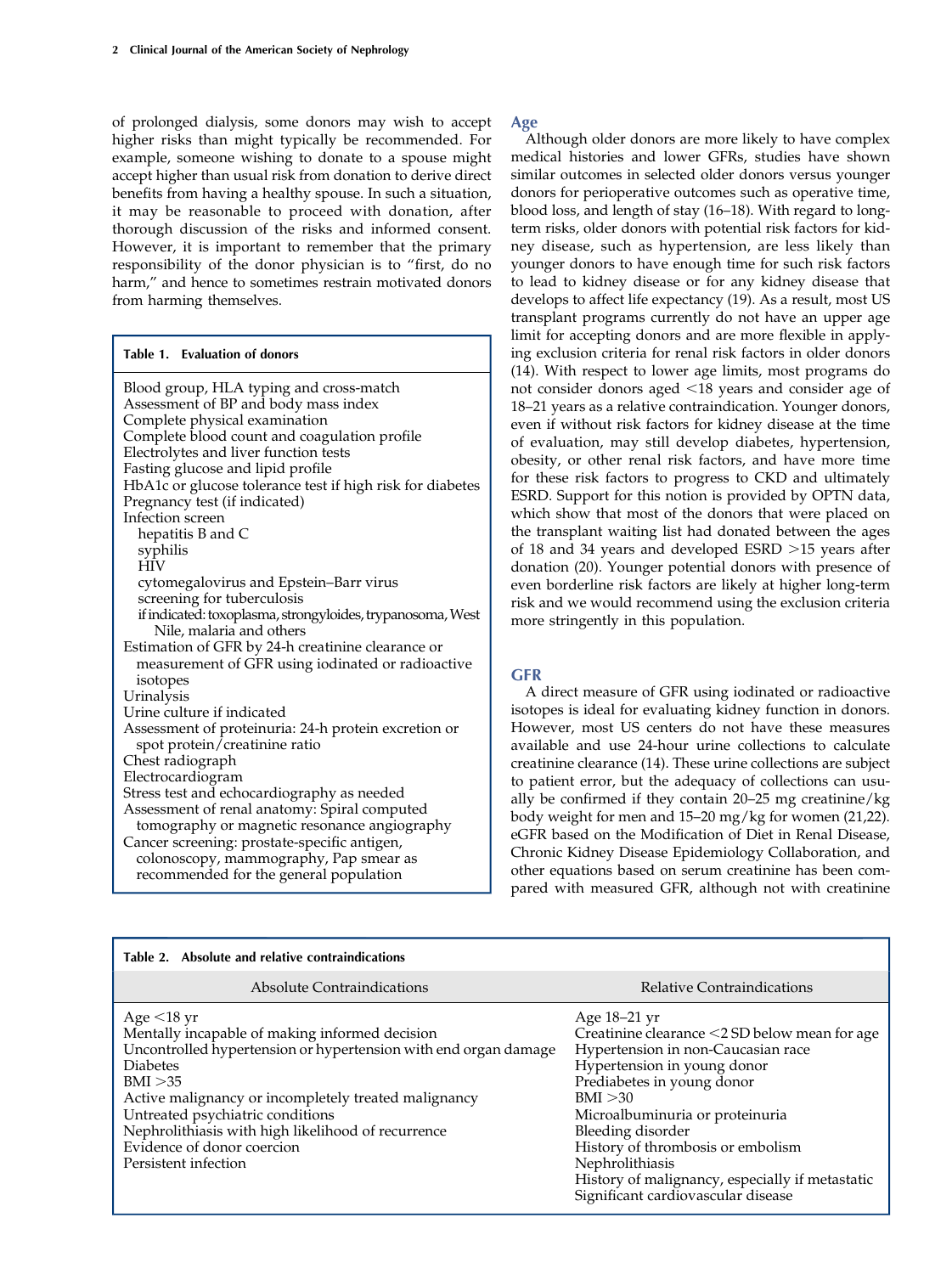of prolonged dialysis, some donors may wish to accept higher risks than might typically be recommended. For example, someone wishing to donate to a spouse might accept higher than usual risk from donation to derive direct benefits from having a healthy spouse. In such a situation, it may be reasonable to proceed with donation, after thorough discussion of the risks and informed consent. However, it is important to remember that the primary responsibility of the donor physician is to "first, do no harm," and hence to sometimes restrain motivated donors from harming themselves.

## Table 1. Evaluation of donors

| Blood group, HLA typing and cross-match<br>Assessment of BP and body mass index<br>Complete physical examination<br>Complete blood count and coagulation profile<br>Electrolytes and liver function tests<br>Fasting glucose and lipid profile<br>HbA1c or glucose tolerance test if high risk for diabetes<br>Pregnancy test (if indicated)<br>Infection screen<br>hepatitis B and C<br>syphilis |
|---------------------------------------------------------------------------------------------------------------------------------------------------------------------------------------------------------------------------------------------------------------------------------------------------------------------------------------------------------------------------------------------------|
| <b>HIV</b>                                                                                                                                                                                                                                                                                                                                                                                        |
| cytomegalovirus and Epstein-Barr virus                                                                                                                                                                                                                                                                                                                                                            |
| screening for tuberculosis                                                                                                                                                                                                                                                                                                                                                                        |
| if indicated: toxoplasma, strongyloides, trypanosoma, West<br>Nile, malaria and others                                                                                                                                                                                                                                                                                                            |
| Estimation of GFR by 24-h creatinine clearance or                                                                                                                                                                                                                                                                                                                                                 |
| measurement of GFR using iodinated or radioactive                                                                                                                                                                                                                                                                                                                                                 |
| isotopes                                                                                                                                                                                                                                                                                                                                                                                          |
| Urinalysis                                                                                                                                                                                                                                                                                                                                                                                        |
| Urine culture if indicated                                                                                                                                                                                                                                                                                                                                                                        |
| Assessment of proteinuria: 24-h protein excretion or<br>spot protein/creatinine ratio                                                                                                                                                                                                                                                                                                             |
| Chest radiograph                                                                                                                                                                                                                                                                                                                                                                                  |
| Electrocardiogram                                                                                                                                                                                                                                                                                                                                                                                 |
| Stress test and echocardiography as needed                                                                                                                                                                                                                                                                                                                                                        |
| Assessment of renal anatomy: Spiral computed<br>tomography or magnetic resonance angiography                                                                                                                                                                                                                                                                                                      |
| Cancer screening: prostate-specific antigen,                                                                                                                                                                                                                                                                                                                                                      |
| colonoscopy, mammography, Pap smear as<br>recommended for the general population                                                                                                                                                                                                                                                                                                                  |
|                                                                                                                                                                                                                                                                                                                                                                                                   |

## Age

Although older donors are more likely to have complex medical histories and lower GFRs, studies have shown similar outcomes in selected older donors versus younger donors for perioperative outcomes such as operative time, blood loss, and length of stay (16–18). With regard to longterm risks, older donors with potential risk factors for kidney disease, such as hypertension, are less likely than younger donors to have enough time for such risk factors to lead to kidney disease or for any kidney disease that develops to affect life expectancy (19). As a result, most US transplant programs currently do not have an upper age limit for accepting donors and are more flexible in applying exclusion criteria for renal risk factors in older donors (14). With respect to lower age limits, most programs do not consider donors aged <18 years and consider age of 18–21 years as a relative contraindication. Younger donors, even if without risk factors for kidney disease at the time of evaluation, may still develop diabetes, hypertension, obesity, or other renal risk factors, and have more time for these risk factors to progress to CKD and ultimately ESRD. Support for this notion is provided by OPTN data, which show that most of the donors that were placed on the transplant waiting list had donated between the ages of 18 and 34 years and developed ESRD  $>15$  years after donation (20). Younger potential donors with presence of even borderline risk factors are likely at higher long-term risk and we would recommend using the exclusion criteria more stringently in this population.

## **GFR**

A direct measure of GFR using iodinated or radioactive isotopes is ideal for evaluating kidney function in donors. However, most US centers do not have these measures available and use 24-hour urine collections to calculate creatinine clearance (14). These urine collections are subject to patient error, but the adequacy of collections can usually be confirmed if they contain 20–25 mg creatinine/kg body weight for men and 15–20 mg/kg for women (21,22). eGFR based on the Modification of Diet in Renal Disease, Chronic Kidney Disease Epidemiology Collaboration, and other equations based on serum creatinine has been compared with measured GFR, although not with creatinine

| Table 2. Absolute and relative contraindications                                                                                                                                                                                                                                                                                                                             |                                                                                                                                                                                                                                                                                                                                                                                             |  |  |  |
|------------------------------------------------------------------------------------------------------------------------------------------------------------------------------------------------------------------------------------------------------------------------------------------------------------------------------------------------------------------------------|---------------------------------------------------------------------------------------------------------------------------------------------------------------------------------------------------------------------------------------------------------------------------------------------------------------------------------------------------------------------------------------------|--|--|--|
| Absolute Contraindications                                                                                                                                                                                                                                                                                                                                                   | Relative Contraindications                                                                                                                                                                                                                                                                                                                                                                  |  |  |  |
| Age $\leq$ 18 yr<br>Mentally incapable of making informed decision<br>Uncontrolled hypertension or hypertension with end organ damage<br><b>Diabetes</b><br>BMI > 35<br>Active malignancy or incompletely treated malignancy<br>Untreated psychiatric conditions<br>Nephrolithiasis with high likelihood of recurrence<br>Evidence of donor coercion<br>Persistent infection | Age 18–21 yr<br>Creatinine clearance $\leq$ 2 SD below mean for age<br>Hypertension in non-Caucasian race<br>Hypertension in young donor<br>Prediabetes in young donor<br>BMI > 30<br>Microalbuminuria or proteinuria<br>Bleeding disorder<br>History of thrombosis or embolism<br>Nephrolithiasis<br>History of malignancy, especially if metastatic<br>Significant cardiovascular disease |  |  |  |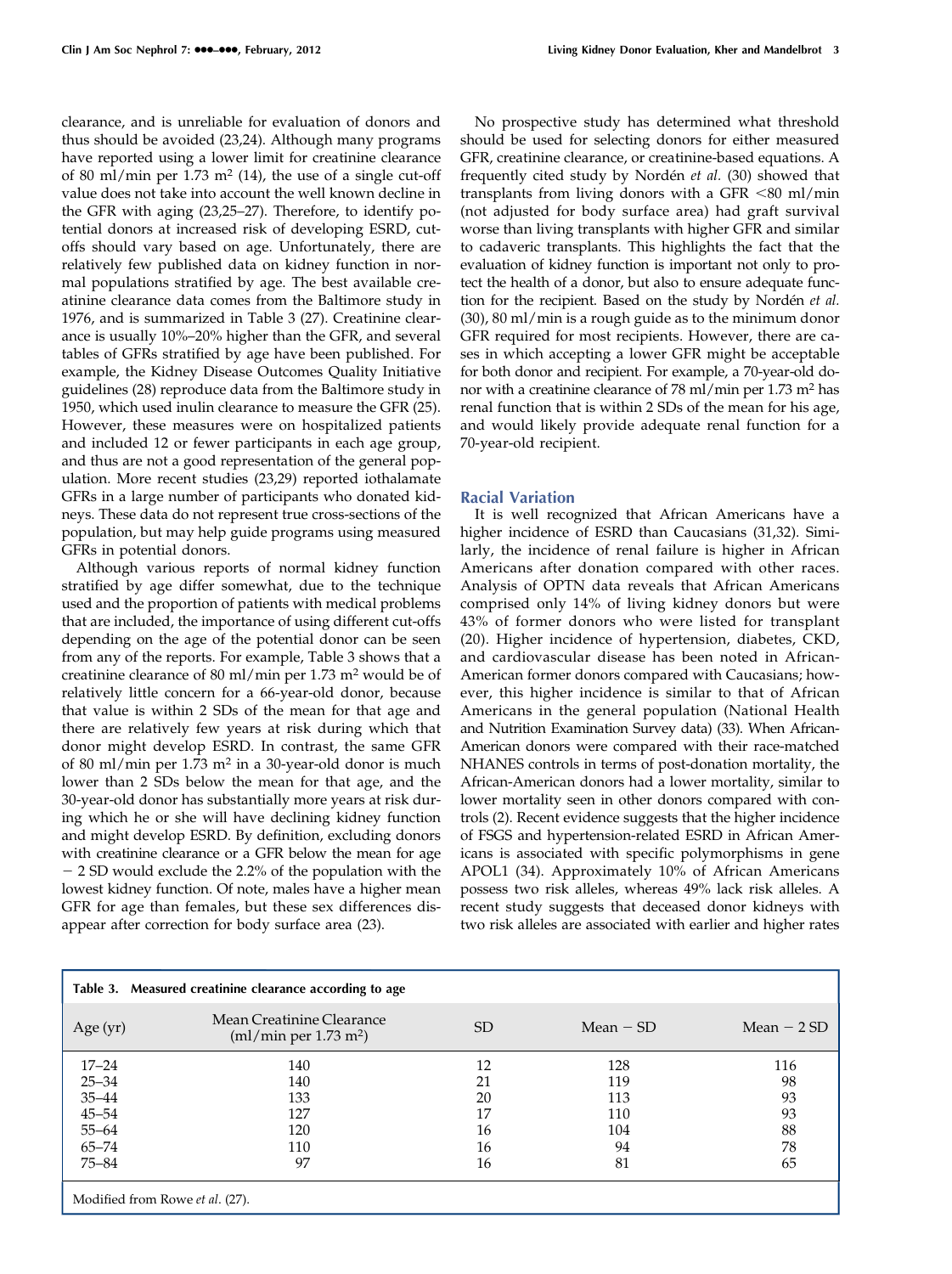clearance, and is unreliable for evaluation of donors and thus should be avoided (23,24). Although many programs have reported using a lower limit for creatinine clearance of 80 ml/min per 1.73 m<sup>2</sup> (14), the use of a single cut-off value does not take into account the well known decline in the GFR with aging (23,25–27). Therefore, to identify potential donors at increased risk of developing ESRD, cutoffs should vary based on age. Unfortunately, there are relatively few published data on kidney function in normal populations stratified by age. The best available creatinine clearance data comes from the Baltimore study in 1976, and is summarized in Table 3 (27). Creatinine clearance is usually 10%–20% higher than the GFR, and several tables of GFRs stratified by age have been published. For example, the Kidney Disease Outcomes Quality Initiative guidelines (28) reproduce data from the Baltimore study in 1950, which used inulin clearance to measure the GFR (25). However, these measures were on hospitalized patients and included 12 or fewer participants in each age group, and thus are not a good representation of the general population. More recent studies (23,29) reported iothalamate GFRs in a large number of participants who donated kidneys. These data do not represent true cross-sections of the population, but may help guide programs using measured GFRs in potential donors.

Although various reports of normal kidney function stratified by age differ somewhat, due to the technique used and the proportion of patients with medical problems that are included, the importance of using different cut-offs depending on the age of the potential donor can be seen from any of the reports. For example, Table 3 shows that a creatinine clearance of 80 ml/min per  $1.73$  m<sup>2</sup> would be of relatively little concern for a 66-year-old donor, because that value is within 2 SDs of the mean for that age and there are relatively few years at risk during which that donor might develop ESRD. In contrast, the same GFR of 80 ml/min per 1.73 m<sup>2</sup> in a 30-year-old donor is much lower than 2 SDs below the mean for that age, and the 30-year-old donor has substantially more years at risk during which he or she will have declining kidney function and might develop ESRD. By definition, excluding donors with creatinine clearance or a GFR below the mean for age - 2 SD would exclude the 2.2% of the population with the lowest kidney function. Of note, males have a higher mean GFR for age than females, but these sex differences disappear after correction for body surface area (23).

No prospective study has determined what threshold should be used for selecting donors for either measured GFR, creatinine clearance, or creatinine-based equations. A frequently cited study by Nordén et al. (30) showed that transplants from living donors with a GFR  $<80$  ml/min (not adjusted for body surface area) had graft survival worse than living transplants with higher GFR and similar to cadaveric transplants. This highlights the fact that the evaluation of kidney function is important not only to protect the health of a donor, but also to ensure adequate function for the recipient. Based on the study by Nordén et al. (30), 80 ml/min is a rough guide as to the minimum donor GFR required for most recipients. However, there are cases in which accepting a lower GFR might be acceptable for both donor and recipient. For example, a 70-year-old donor with a creatinine clearance of  $78$  ml/min per  $1.73$  m<sup>2</sup> has renal function that is within 2 SDs of the mean for his age, and would likely provide adequate renal function for a 70-year-old recipient.

# Racial Variation

It is well recognized that African Americans have a higher incidence of ESRD than Caucasians (31,32). Similarly, the incidence of renal failure is higher in African Americans after donation compared with other races. Analysis of OPTN data reveals that African Americans comprised only 14% of living kidney donors but were 43% of former donors who were listed for transplant (20). Higher incidence of hypertension, diabetes, CKD, and cardiovascular disease has been noted in African-American former donors compared with Caucasians; however, this higher incidence is similar to that of African Americans in the general population (National Health and Nutrition Examination Survey data) (33). When African-American donors were compared with their race-matched NHANES controls in terms of post-donation mortality, the African-American donors had a lower mortality, similar to lower mortality seen in other donors compared with controls (2). Recent evidence suggests that the higher incidence of FSGS and hypertension-related ESRD in African Americans is associated with specific polymorphisms in gene APOL1 (34). Approximately 10% of African Americans possess two risk alleles, whereas 49% lack risk alleles. A recent study suggests that deceased donor kidneys with two risk alleles are associated with earlier and higher rates

| Measured creatinine clearance according to age<br>Table 3. |                                                                    |    |             |              |  |  |  |
|------------------------------------------------------------|--------------------------------------------------------------------|----|-------------|--------------|--|--|--|
| Age $(yr)$                                                 | Mean Creatinine Clearance<br>$\text{m1/min per } 1.73 \text{ m}^2$ | SD | Mean $-$ SD | Mean $-2$ SD |  |  |  |
| $17 - 24$                                                  | 140                                                                | 12 | 128         | 116          |  |  |  |
| $25 - 34$                                                  | 140                                                                | 21 | 119         | 98           |  |  |  |
| $35 - 44$                                                  | 133                                                                | 20 | 113         | 93           |  |  |  |
| $45 - 54$                                                  | 127                                                                | 17 | 110         | 93           |  |  |  |
| $55 - 64$                                                  | 120                                                                | 16 | 104         | 88           |  |  |  |
| $65 - 74$                                                  | 110                                                                | 16 | 94          | 78           |  |  |  |
| $75 - 84$                                                  | 97                                                                 | 16 | 81          | 65           |  |  |  |
| Modified from Rowe et al. (27).                            |                                                                    |    |             |              |  |  |  |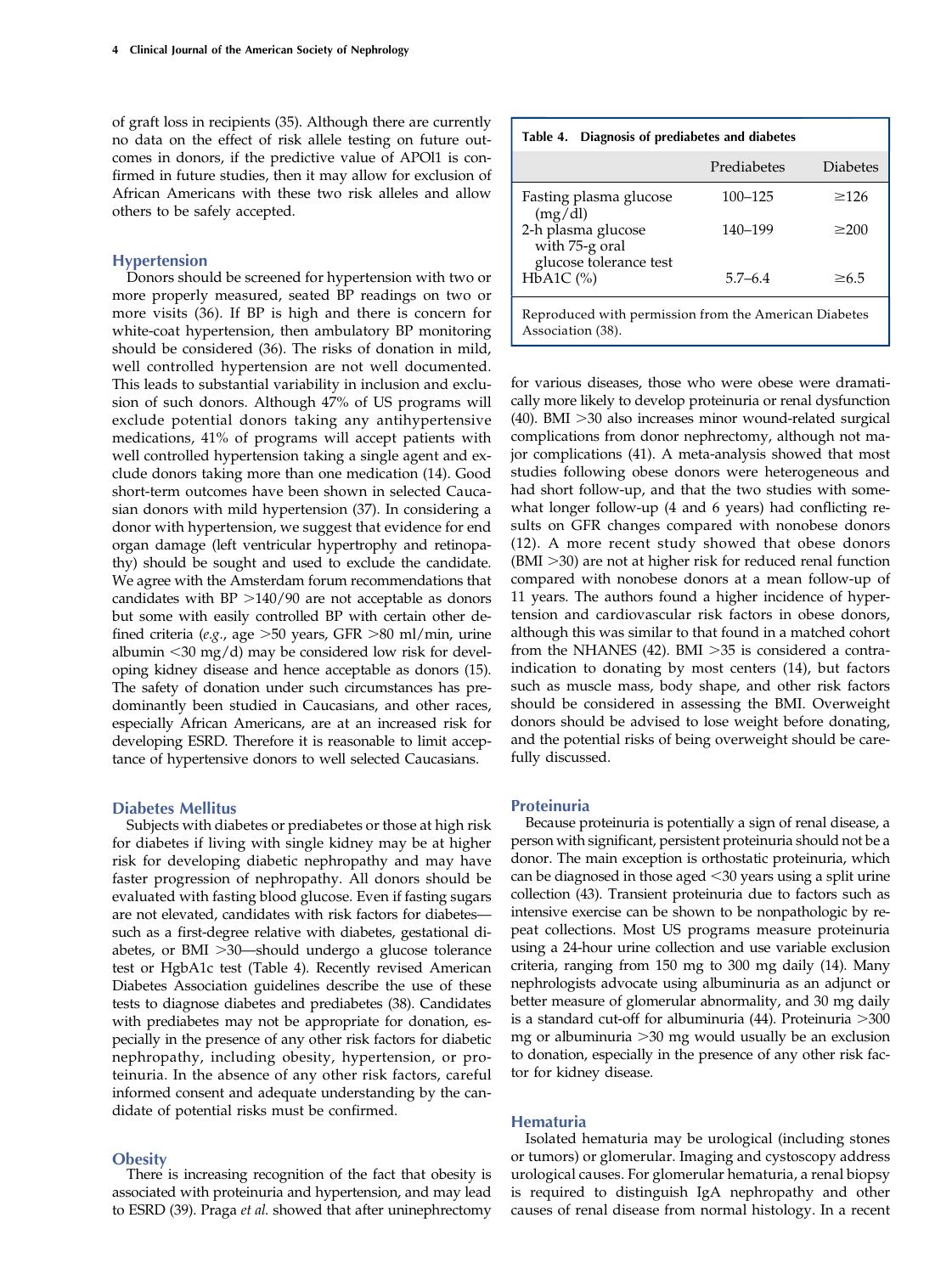of graft loss in recipients (35). Although there are currently no data on the effect of risk allele testing on future outcomes in donors, if the predictive value of APOl1 is confirmed in future studies, then it may allow for exclusion of African Americans with these two risk alleles and allow others to be safely accepted.

## Hypertension

Donors should be screened for hypertension with two or more properly measured, seated BP readings on two or more visits (36). If BP is high and there is concern for white-coat hypertension, then ambulatory BP monitoring should be considered (36). The risks of donation in mild, well controlled hypertension are not well documented. This leads to substantial variability in inclusion and exclusion of such donors. Although 47% of US programs will exclude potential donors taking any antihypertensive medications, 41% of programs will accept patients with well controlled hypertension taking a single agent and exclude donors taking more than one medication (14). Good short-term outcomes have been shown in selected Caucasian donors with mild hypertension (37). In considering a donor with hypertension, we suggest that evidence for end organ damage (left ventricular hypertrophy and retinopathy) should be sought and used to exclude the candidate. We agree with the Amsterdam forum recommendations that candidates with  $BP >140/90$  are not acceptable as donors but some with easily controlled BP with certain other defined criteria (e.g., age  $>50$  years, GFR  $>80$  ml/min, urine albumin  $<$ 30 mg/d) may be considered low risk for developing kidney disease and hence acceptable as donors (15). The safety of donation under such circumstances has predominantly been studied in Caucasians, and other races, especially African Americans, are at an increased risk for developing ESRD. Therefore it is reasonable to limit acceptance of hypertensive donors to well selected Caucasians.

# Diabetes Mellitus

Subjects with diabetes or prediabetes or those at high risk for diabetes if living with single kidney may be at higher risk for developing diabetic nephropathy and may have faster progression of nephropathy. All donors should be evaluated with fasting blood glucose. Even if fasting sugars are not elevated, candidates with risk factors for diabetes such as a first-degree relative with diabetes, gestational diabetes, or  $BMI >30$ —should undergo a glucose tolerance test or HgbA1c test (Table 4). Recently revised American Diabetes Association guidelines describe the use of these tests to diagnose diabetes and prediabetes (38). Candidates with prediabetes may not be appropriate for donation, especially in the presence of any other risk factors for diabetic nephropathy, including obesity, hypertension, or proteinuria. In the absence of any other risk factors, careful informed consent and adequate understanding by the candidate of potential risks must be confirmed.

## **Obesity**

There is increasing recognition of the fact that obesity is associated with proteinuria and hypertension, and may lead to ESRD (39). Praga et al. showed that after uninephrectomy

| Table 4. Diagnosis of prediabetes and diabetes |  |  |  |             |                 |
|------------------------------------------------|--|--|--|-------------|-----------------|
|                                                |  |  |  | Prediabetes | <b>Diabetes</b> |
|                                                |  |  |  |             |                 |

| Fasting plasma glucose                                                     | $100 - 125$ | >126       |  |
|----------------------------------------------------------------------------|-------------|------------|--|
| (mg/dl)<br>2-h plasma glucose                                              | 140-199     | $\geq$ 200 |  |
| with 75-g oral                                                             |             |            |  |
| glucose tolerance test                                                     |             |            |  |
| $HbA1C$ (%)                                                                | $5.7 - 6.4$ | $\geq 6.5$ |  |
| Reproduced with permission from the American Diabetes<br>Association (38). |             |            |  |

for various diseases, those who were obese were dramatically more likely to develop proteinuria or renal dysfunction (40). BMI  $>$ 30 also increases minor wound-related surgical complications from donor nephrectomy, although not major complications (41). A meta-analysis showed that most studies following obese donors were heterogeneous and had short follow-up, and that the two studies with somewhat longer follow-up (4 and 6 years) had conflicting results on GFR changes compared with nonobese donors (12). A more recent study showed that obese donors  $(BMI > 30)$  are not at higher risk for reduced renal function compared with nonobese donors at a mean follow-up of 11 years. The authors found a higher incidence of hypertension and cardiovascular risk factors in obese donors, although this was similar to that found in a matched cohort from the NHANES (42). BMI  $>35$  is considered a contraindication to donating by most centers (14), but factors such as muscle mass, body shape, and other risk factors should be considered in assessing the BMI. Overweight donors should be advised to lose weight before donating, and the potential risks of being overweight should be carefully discussed.

#### Proteinuria

Because proteinuria is potentially a sign of renal disease, a person with significant, persistent proteinuria should not be a donor. The main exception is orthostatic proteinuria, which can be diagnosed in those aged  $<$ 30 years using a split urine collection (43). Transient proteinuria due to factors such as intensive exercise can be shown to be nonpathologic by repeat collections. Most US programs measure proteinuria using a 24-hour urine collection and use variable exclusion criteria, ranging from 150 mg to 300 mg daily (14). Many nephrologists advocate using albuminuria as an adjunct or better measure of glomerular abnormality, and 30 mg daily is a standard cut-off for albuminuria  $(44)$ . Proteinuria  $>300$ mg or albuminuria  $>$ 30 mg would usually be an exclusion to donation, especially in the presence of any other risk factor for kidney disease.

## Hematuria

Isolated hematuria may be urological (including stones or tumors) or glomerular. Imaging and cystoscopy address urological causes. For glomerular hematuria, a renal biopsy is required to distinguish IgA nephropathy and other causes of renal disease from normal histology. In a recent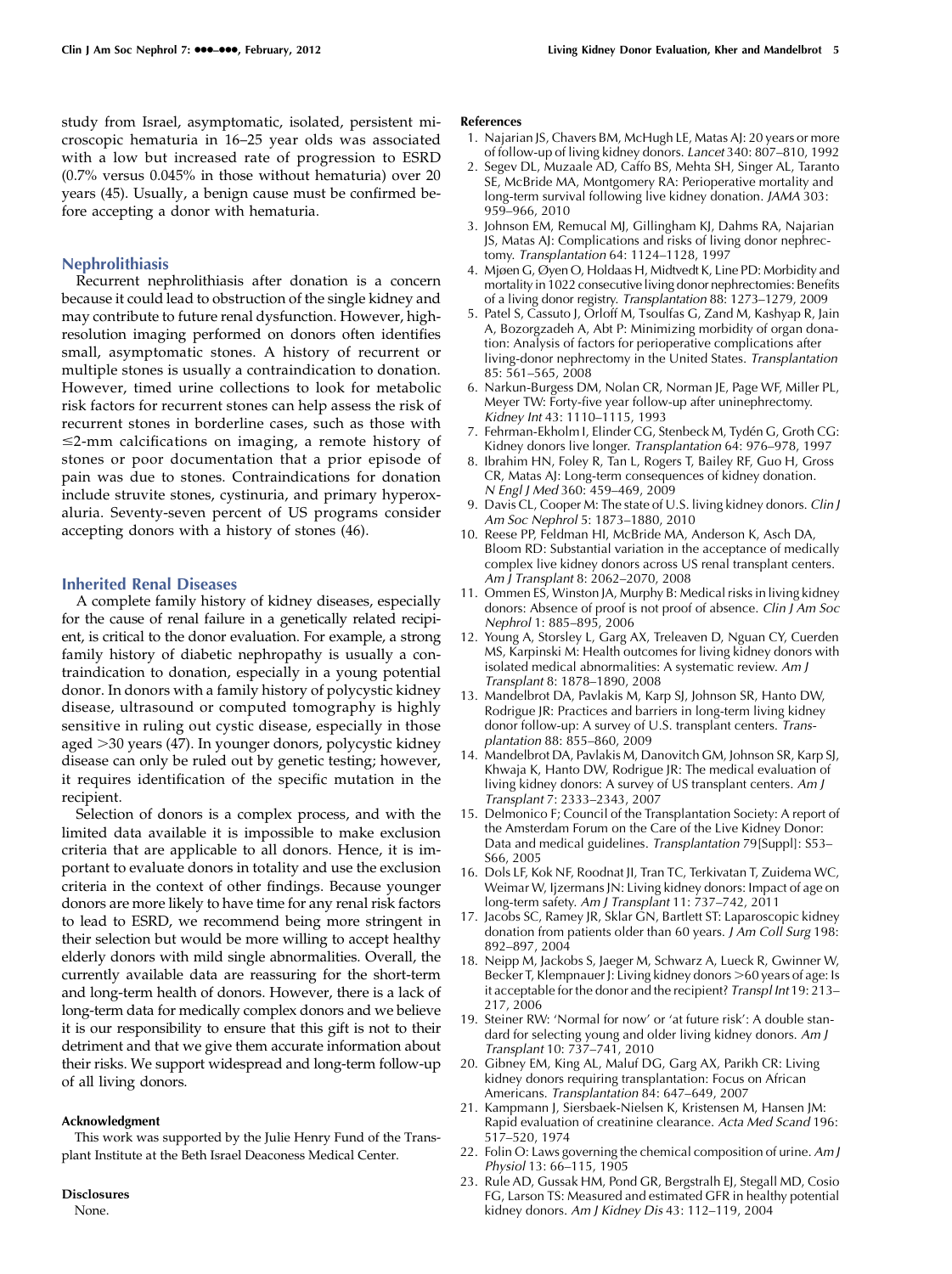study from Israel, asymptomatic, isolated, persistent microscopic hematuria in 16–25 year olds was associated with a low but increased rate of progression to ESRD (0.7% versus 0.045% in those without hematuria) over 20 years (45). Usually, a benign cause must be confirmed before accepting a donor with hematuria.

## Nephrolithiasis

Recurrent nephrolithiasis after donation is a concern because it could lead to obstruction of the single kidney and may contribute to future renal dysfunction. However, highresolution imaging performed on donors often identifies small, asymptomatic stones. A history of recurrent or multiple stones is usually a contraindication to donation. However, timed urine collections to look for metabolic risk factors for recurrent stones can help assess the risk of recurrent stones in borderline cases, such as those with  $\leq$ 2-mm calcifications on imaging, a remote history of stones or poor documentation that a prior episode of pain was due to stones. Contraindications for donation include struvite stones, cystinuria, and primary hyperoxaluria. Seventy-seven percent of US programs consider accepting donors with a history of stones (46).

#### Inherited Renal Diseases

A complete family history of kidney diseases, especially for the cause of renal failure in a genetically related recipient, is critical to the donor evaluation. For example, a strong family history of diabetic nephropathy is usually a contraindication to donation, especially in a young potential donor. In donors with a family history of polycystic kidney disease, ultrasound or computed tomography is highly sensitive in ruling out cystic disease, especially in those aged  $>$ 30 years (47). In younger donors, polycystic kidney disease can only be ruled out by genetic testing; however, it requires identification of the specific mutation in the recipient.

Selection of donors is a complex process, and with the limited data available it is impossible to make exclusion criteria that are applicable to all donors. Hence, it is important to evaluate donors in totality and use the exclusion criteria in the context of other findings. Because younger donors are more likely to have time for any renal risk factors to lead to ESRD, we recommend being more stringent in their selection but would be more willing to accept healthy elderly donors with mild single abnormalities. Overall, the currently available data are reassuring for the short-term and long-term health of donors. However, there is a lack of long-term data for medically complex donors and we believe it is our responsibility to ensure that this gift is not to their detriment and that we give them accurate information about their risks. We support widespread and long-term follow-up of all living donors.

#### Acknowledgment

This work was supported by the Julie Henry Fund of the Transplant Institute at the Beth Israel Deaconess Medical Center.

## Disclosures

None.

#### References

- 1. Najarian JS, Chavers BM, McHugh LE, Matas AJ: 20 years or more of follow-up of living kidney donors. Lancet 340: 807–810, 1992
- 2. Segev DL, Muzaale AD, Caffo BS, Mehta SH, Singer AL, Taranto SE, McBride MA, Montgomery RA: Perioperative mortality and long-term survival following live kidney donation. JAMA 303: 959–966, 2010
- 3. Johnson EM, Remucal MJ, Gillingham KJ, Dahms RA, Najarian JS, Matas AJ: Complications and risks of living donor nephrectomy. Transplantation 64: 1124–1128, 1997
- 4. Mjøen G, Øyen O, Holdaas H, Midtvedt K, Line PD: Morbidity and mortality in 1022 consecutive living donor nephrectomies: Benefits of a living donor registry. Transplantation 88: 1273–1279, 2009
- 5. Patel S, Cassuto J, Orloff M, Tsoulfas G, Zand M, Kashyap R, Jain A, Bozorgzadeh A, Abt P: Minimizing morbidity of organ donation: Analysis of factors for perioperative complications after living-donor nephrectomy in the United States. Transplantation 85: 561–565, 2008
- 6. Narkun-Burgess DM, Nolan CR, Norman JE, Page WF, Miller PL, Meyer TW: Forty-five year follow-up after uninephrectomy. Kidney Int 43: 1110–1115, 1993
- 7. Fehrman-Ekholm I, Elinder CG, Stenbeck M, Tydén G, Groth CG: Kidney donors live longer. Transplantation 64: 976–978, 1997
- 8. Ibrahim HN, Foley R, Tan L, Rogers T, Bailey RF, Guo H, Gross CR, Matas AJ: Long-term consequences of kidney donation. N Engl J Med 360: 459–469, 2009
- 9. Davis CL, Cooper M: The state of U.S. living kidney donors. Clin J Am Soc Nephrol 5: 1873–1880, 2010
- 10. Reese PP, Feldman HI, McBride MA, Anderson K, Asch DA, Bloom RD: Substantial variation in the acceptance of medically complex live kidney donors across US renal transplant centers. Am J Transplant 8: 2062–2070, 2008
- 11. Ommen ES, Winston JA, Murphy B: Medical risks in living kidney donors: Absence of proof is not proof of absence. Clin J Am Soc Nephrol 1: 885–895, 2006
- 12. Young A, Storsley L, Garg AX, Treleaven D, Nguan CY, Cuerden MS, Karpinski M: Health outcomes for living kidney donors with isolated medical abnormalities: A systematic review. Am J Transplant 8: 1878–1890, 2008
- 13. Mandelbrot DA, Pavlakis M, Karp SJ, Johnson SR, Hanto DW, Rodrigue JR: Practices and barriers in long-term living kidney donor follow-up: A survey of U.S. transplant centers. Transplantation 88: 855–860, 2009
- 14. Mandelbrot DA, Pavlakis M, Danovitch GM, Johnson SR, Karp SJ, Khwaja K, Hanto DW, Rodrigue JR: The medical evaluation of living kidney donors: A survey of US transplant centers. Am J Transplant 7: 2333–2343, 2007
- 15. Delmonico F; Council of the Transplantation Society: A report of the Amsterdam Forum on the Care of the Live Kidney Donor: Data and medical guidelines. Transplantation 79[Suppl]: S53-S66, 2005
- 16. Dols LF, Kok NF, Roodnat JI, Tran TC, Terkivatan T, Zuidema WC, Weimar W, Ijzermans JN: Living kidney donors: Impact of age on long-term safety. Am J Transplant 11: 737–742, 2011
- 17. Jacobs SC, Ramey JR, Sklar GN, Bartlett ST: Laparoscopic kidney donation from patients older than 60 years. J Am Coll Surg 198: 892–897, 2004
- 18. Neipp M, Jackobs S, Jaeger M, Schwarz A, Lueck R, Gwinner W, Becker T, Klempnauer J: Living kidney donors >60 years of age: Is it acceptable for the donor and the recipient? Transpl Int 19: 213– 217, 2006
- 19. Steiner RW: 'Normal for now' or 'at future risk': A double standard for selecting young and older living kidney donors. Am J Transplant 10: 737–741, 2010
- 20. Gibney EM, King AL, Maluf DG, Garg AX, Parikh CR: Living kidney donors requiring transplantation: Focus on African Americans. Transplantation 84: 647–649, 2007
- 21. Kampmann J, Siersbaek-Nielsen K, Kristensen M, Hansen JM: Rapid evaluation of creatinine clearance. Acta Med Scand 196: 517–520, 1974
- 22. Folin O: Laws governing the chemical composition of urine. Am J Physiol 13: 66–115, 1905
- 23. Rule AD, Gussak HM, Pond GR, Bergstralh EJ, Stegall MD, Cosio FG, Larson TS: Measured and estimated GFR in healthy potential kidney donors. Am J Kidney Dis 43: 112–119, 2004